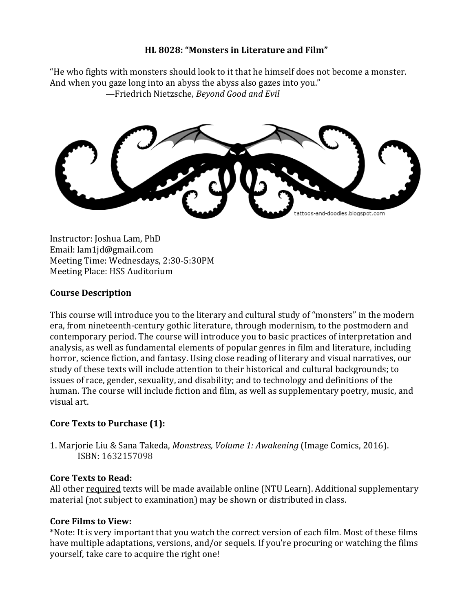### **HL 8028: "Monsters in Literature and Film"**

"He who fights with monsters should look to it that he himself does not become a monster. And when you gaze long into an abyss the abyss also gazes into you." —Friedrich Nietzsche, *Beyond Good and Evil*

tattoos-and-doodles.blogspot.com

Instructor: Joshua Lam, PhD Email: lam1jd@gmail.com Meeting Time: Wednesdays, 2:30-5:30PM Meeting Place: HSS Auditorium

# **Course Description**

This course will introduce you to the literary and cultural study of "monsters" in the modern era, from nineteenth-century gothic literature, through modernism, to the postmodern and contemporary period. The course will introduce you to basic practices of interpretation and analysis, as well as fundamental elements of popular genres in film and literature, including horror, science fiction, and fantasy. Using close reading of literary and visual narratives, our study of these texts will include attention to their historical and cultural backgrounds; to issues of race, gender, sexuality, and disability; and to technology and definitions of the human. The course will include fiction and film, as well as supplementary poetry, music, and visual art.

# **Core Texts to Purchase (1):**

1. Marjorie Liu & Sana Takeda, *Monstress, Volume 1: Awakening* (Image Comics, 2016). ISBN: 1632157098

### **Core Texts to Read:**

All other required texts will be made available online (NTU Learn). Additional supplementary material (not subject to examination) may be shown or distributed in class.

### **Core Films to View:**

\*Note: It is very important that you watch the correct version of each film. Most of these films have multiple adaptations, versions, and/or sequels. If you're procuring or watching the films yourself, take care to acquire the right one!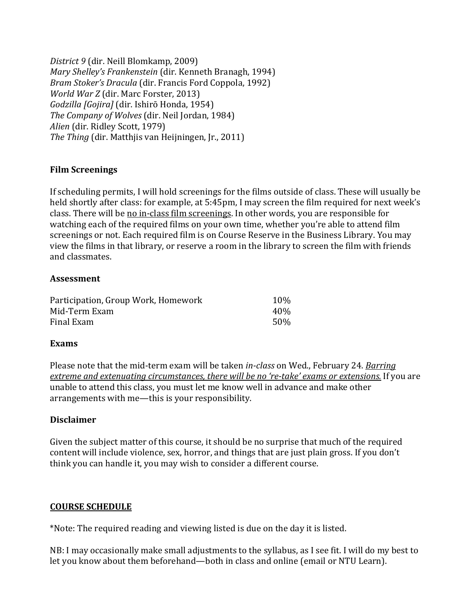*District 9* (dir. Neill Blomkamp, 2009) *Mary Shelley's Frankenstein* (dir. Kenneth Branagh, 1994) *Bram Stoker's Dracula* (dir. Francis Ford Coppola, 1992) *World War Z* (dir. Marc Forster, 2013) *Godzilla [Gojira]* (dir. Ishirō Honda, 1954) *The Company of Wolves* (dir. Neil Jordan, 1984) *Alien* (dir. Ridley Scott, 1979) *The Thing* (dir. Matthjis van Heijningen, Jr., 2011)

### **Film Screenings**

If scheduling permits, I will hold screenings for the films outside of class. These will usually be held shortly after class: for example, at 5:45pm, I may screen the film required for next week's class. There will be no in-class film screenings. In other words, you are responsible for watching each of the required films on your own time, whether you're able to attend film screenings or not. Each required film is on Course Reserve in the Business Library. You may view the films in that library, or reserve a room in the library to screen the film with friends and classmates.

#### **Assessment**

| Participation, Group Work, Homework | 10% |
|-------------------------------------|-----|
| Mid-Term Exam                       | 40% |
| Final Exam                          | 50% |

#### **Exams**

Please note that the mid-term exam will be taken *in-class* on Wed., February 24. *Barring extreme and extenuating circumstances, there will be no 're-take' exams or extensions.* If you are unable to attend this class, you must let me know well in advance and make other arrangements with me—this is your responsibility.

### **Disclaimer**

Given the subject matter of this course, it should be no surprise that much of the required content will include violence, sex, horror, and things that are just plain gross. If you don't think you can handle it, you may wish to consider a different course.

### **COURSE SCHEDULE**

\*Note: The required reading and viewing listed is due on the day it is listed.

NB: I may occasionally make small adjustments to the syllabus, as I see fit. I will do my best to let you know about them beforehand—both in class and online (email or NTU Learn).